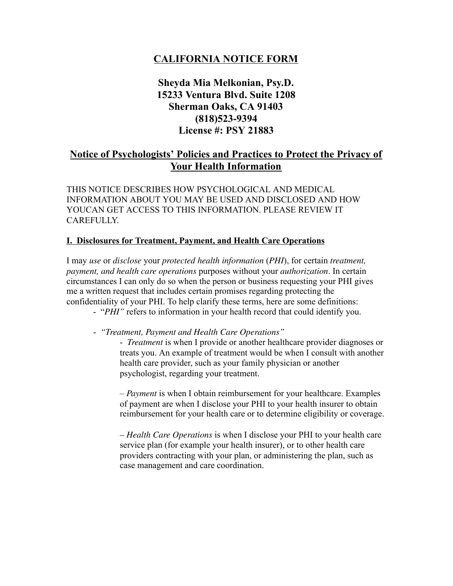## **CALIFORNIA NOTICE FORM**

## **Sheyda Mia Melkonian, Psy.D. 15233 Ventura Blvd. Suite 1208 Sherman Oaks, CA 91403 (818)523-9394 License #: PSY 21883**

# **Notice of Psychologists' Policies and Practices to Protect the Privacy of Your Health Information**

THIS NOTICE DESCRIBES HOW PSYCHOLOGICAL AND MEDICAL INFORMATION ABOUT YOU MAY BE USED AND DISCLOSED AND HOW YOUCAN GET ACCESS TO THIS INFORMATION. PLEASE REVIEW IT CAREFULLY.

#### **I. Disclosures for Treatment, Payment, and Health Care Operations**

I may *use* or *disclose* your *protected health information* ( *PHI*), for certain *treatment, payment, and health care operations* purposes without your *authorization* . In certain circumstances I can only do so when the person or business requesting your PHI gives me a written request that includes certain promises regarding protecting the confidentiality of your PHI. To help clarify these terms, here are some definitions:

- "*PHI*" refers to information in your health record that could identify you.

- *"Treatment, Payment and Health Care Operations"*

- *Treatment* is when I provide or another healthcare provider diagnoses or treats you. An example of treatment would be when I consult with another health care provider, such as your family physician or another psychologist, regarding your treatment.

– *Payment* is when I obtain reimbursement for your healthcare. Examples of payment are when I disclose your PHI to your health insurer to obtain reimbursement for your health care or to determine eligibility or coverage.

*– Health Care Operations* is when I disclose your PHI to your health care service plan (for example your health insurer), or to other health care providers contracting with your plan, or administering the plan, such as case management and care coordination.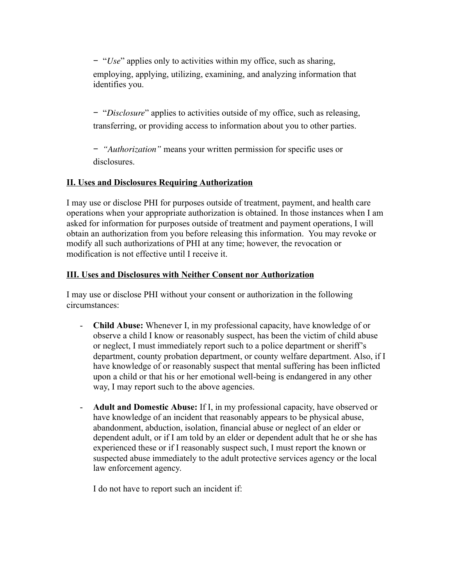− " *Use*" applies only to activities within my office, such as sharing, employing, applying, utilizing, examining, and analyzing information that identifies you.

− " *Disclosure*" applies to activities outside of my office, such as releasing, transferring, or providing access to information about you to other parties.

− *"Authorization"* means your written permission for specific uses or disclosures.

### **II. Uses and Disclosures Requiring Authorization**

I may use or disclose PHI for purposes outside of treatment, payment, and health care operations when your appropriate authorization is obtained. In those instances when I am asked for information for purposes outside of treatment and payment operations, I will obtain an authorization from you before releasing this information. You may revoke or modify all such authorizations of PHI at any time; however, the revocation or modification is not effective until I receive it.

#### **III. Uses and Disclosures with Neither Consent nor Authorization**

I may use or disclose PHI without your consent or authorization in the following circumstances:

- **Child Abuse:** Whenever I, in my professional capacity, have knowledge of or observe a child I know or reasonably suspect, has been the victim of child abuse or neglect, I must immediately report such to a police department or sheriff's department, county probation department, or county welfare department. Also, if I have knowledge of or reasonably suspect that mental suffering has been inflicted upon a child or that his or her emotional well-being is endangered in any other way, I may report such to the above agencies.
- **Adult and Domestic Abuse:** If I, in my professional capacity, have observed or have knowledge of an incident that reasonably appears to be physical abuse, abandonment, abduction, isolation, financial abuse or neglect of an elder or dependent adult, or if I am told by an elder or dependent adult that he or she has experienced these or if I reasonably suspect such, I must report the known or suspected abuse immediately to the adult protective services agency or the local law enforcement agency.

I do not have to report such an incident if: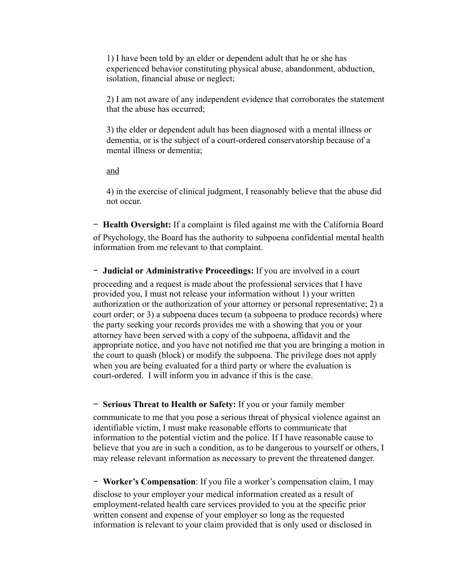1) I have been told by an elder or dependent adult that he or she has experienced behavior constituting physical abuse, abandonment, abduction, isolation, financial abuse or neglect;

2) I am not aware of any independent evidence that corroborates the statement that the abuse has occurred;

3) the elder or dependent adult has been diagnosed with a mental illness or dementia, or is the subject of a court-ordered conservatorship because of a mental illness or dementia;

and

4) in the exercise of clinical judgment, I reasonably believe that the abuse did not occur.

− **Health Oversight:** If a complaint is filed against me with the California Board of Psychology, the Board has the authority to subpoena confidential mental health information from me relevant to that complaint.

− **Judicial or Administrative Proceedings:** If you are involved in a court

proceeding and a request is made about the professional services that I have provided you, I must not release your information without 1) your written authorization or the authorization of your attorney or personal representative; 2) a court order; or 3) a subpoena duces tecum (a subpoena to produce records) where the party seeking your records provides me with a showing that you or your attorney have been served with a copy of the subpoena, affidavit and the appropriate notice, and you have not notified me that you are bringing a motion in the court to quash (block) or modify the subpoena. The privilege does not apply when you are being evaluated for a third party or where the evaluation is court-ordered. I will inform you in advance if this is the case.

− **Serious Threat to Health or Safety:** If you or your family member communicate to me that you pose a serious threat of physical violence against an identifiable victim, I must make reasonable efforts to communicate that information to the potential victim and the police. If I have reasonable cause to believe that you are in such a condition, as to be dangerous to yourself or others, I may release relevant information as necessary to prevent the threatened danger.

− **Worker's Compensation** : If you file a worker's compensation claim, I may disclose to your employer your medical information created as a result of employment-related health care services provided to you at the specific prior written consent and expense of your employer so long as the requested information is relevant to your claim provided that is only used or disclosed in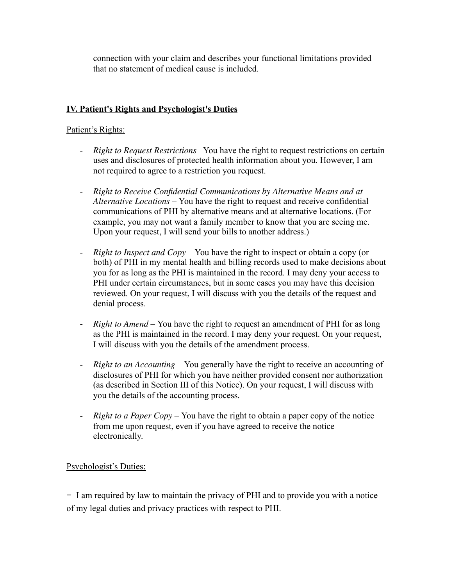connection with your claim and describes your functional limitations provided that no statement of medical cause is included.

## **IV. Patient's Rights and Psychologist's Duties**

## Patient's Rights:

- *Right to Request Restrictions* –You have the right to request restrictions on certain uses and disclosures of protected health information about you. However, I am not required to agree to a restriction you request.
- *Right to Receive Confidential Communications by Alternative Means and at Alternative Locations* – You have the right to request and receive confidential communications of PHI by alternative means and at alternative locations. (For example, you may not want a family member to know that you are seeing me. Upon your request, I will send your bills to another address.)
- *Right to Inspect and Copy*  You have the right to inspect or obtain a copy (or both) of PHI in my mental health and billing records used to make decisions about you for as long as the PHI is maintained in the record. I may deny your access to PHI under certain circumstances, but in some cases you may have this decision reviewed. On your request, I will discuss with you the details of the request and denial process.
- *Right to Amend*  You have the right to request an amendment of PHI for as long as the PHI is maintained in the record. I may deny your request. On your request, I will discuss with you the details of the amendment process.
- *Right to an Accounting*  You generally have the right to receive an accounting of disclosures of PHI for which you have neither provided consent nor authorization (as described in Section III of this Notice). On your request, I will discuss with you the details of the accounting process.
- *Right to a Paper Copy*  You have the right to obtain a paper copy of the notice from me upon request, even if you have agreed to receive the notice electronically.

## Psychologist's Duties:

− I am required by law to maintain the privacy of PHI and to provide you with a notice of my legal duties and privacy practices with respect to PHI.